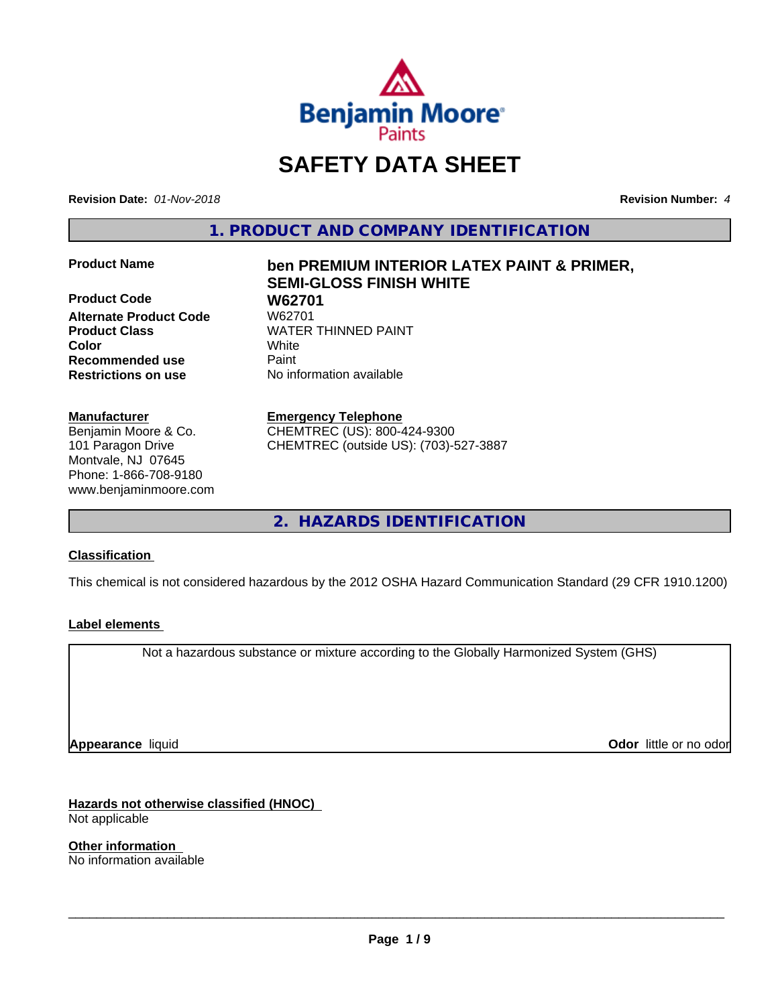

## **SAFETY DATA SHEET**

**Revision Date:** *01-Nov-2018* **Revision Number:** *4*

**1. PRODUCT AND COMPANY IDENTIFICATION**

**Product Code 61 W62701**<br>Alternate Product Code 61 W62701 **Alternate Product Code Product Class WATER THINNED PAINT Color** White **Recommended use** Paint **Restrictions on use** No information available

#### **Manufacturer**

Benjamin Moore & Co. 101 Paragon Drive Montvale, NJ 07645 Phone: 1-866-708-9180 www.benjaminmoore.com

# **Product Name ben PREMIUM INTERIOR LATEX PAINT & PRIMER, SEMI-GLOSS FINISH WHITE**

#### **Emergency Telephone**

CHEMTREC (US): 800-424-9300 CHEMTREC (outside US): (703)-527-3887

**2. HAZARDS IDENTIFICATION**

#### **Classification**

This chemical is not considered hazardous by the 2012 OSHA Hazard Communication Standard (29 CFR 1910.1200)

#### **Label elements**

Not a hazardous substance or mixture according to the Globally Harmonized System (GHS)

**Appearance** liquid

**Odor** little or no odor

**Hazards not otherwise classified (HNOC)** Not applicable

**Other information** No information available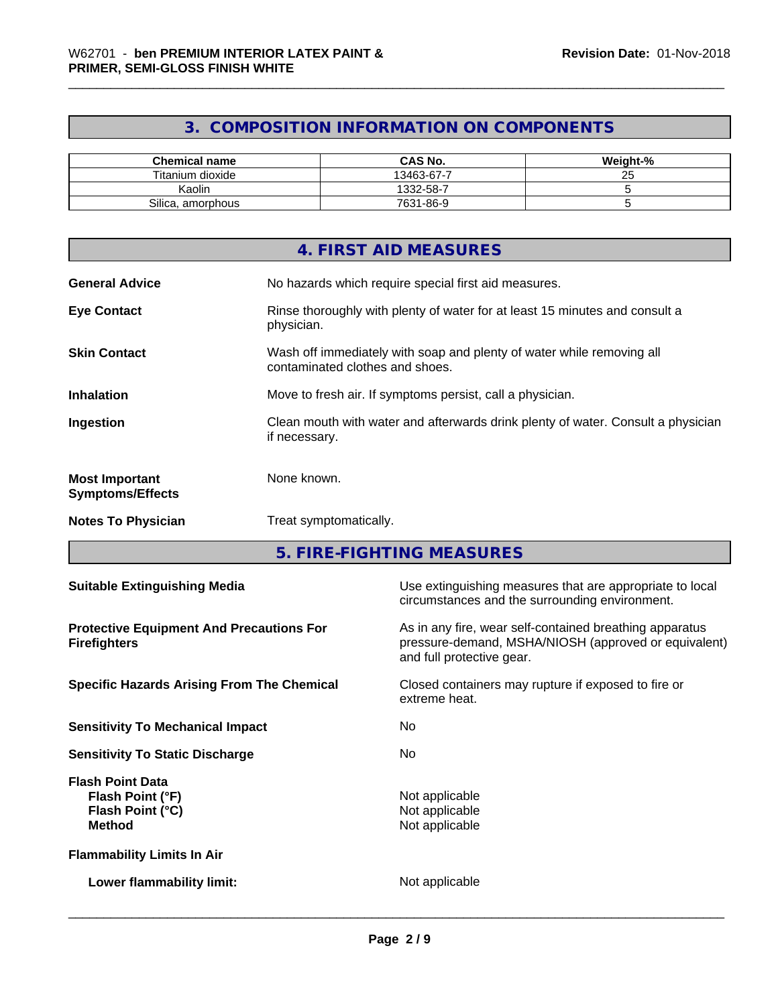## **3. COMPOSITION INFORMATION ON COMPONENTS**

| <b>Chemical name</b> | <b>CAS No.</b> | Weight-%        |
|----------------------|----------------|-----------------|
| Titanium dioxide     | 13463-67-7     | $\sim$ $-$<br>∠ |
| Kaolin               | 1332-58-7      |                 |
| Silica, amorphous    | 7631-86-9      |                 |

|                                                  | 4. FIRST AID MEASURES                                                                                    |
|--------------------------------------------------|----------------------------------------------------------------------------------------------------------|
| <b>General Advice</b>                            | No hazards which require special first aid measures.                                                     |
| <b>Eye Contact</b>                               | Rinse thoroughly with plenty of water for at least 15 minutes and consult a<br>physician.                |
| <b>Skin Contact</b>                              | Wash off immediately with soap and plenty of water while removing all<br>contaminated clothes and shoes. |
| <b>Inhalation</b>                                | Move to fresh air. If symptoms persist, call a physician.                                                |
| Ingestion                                        | Clean mouth with water and afterwards drink plenty of water. Consult a physician<br>if necessary.        |
| <b>Most Important</b><br><b>Symptoms/Effects</b> | None known.                                                                                              |
| <b>Notes To Physician</b>                        | Treat symptomatically.                                                                                   |

**5. FIRE-FIGHTING MEASURES**

| <b>Suitable Extinguishing Media</b>                                              | Use extinguishing measures that are appropriate to local<br>circumstances and the surrounding environment.                                   |
|----------------------------------------------------------------------------------|----------------------------------------------------------------------------------------------------------------------------------------------|
| <b>Protective Equipment And Precautions For</b><br><b>Firefighters</b>           | As in any fire, wear self-contained breathing apparatus<br>pressure-demand, MSHA/NIOSH (approved or equivalent)<br>and full protective gear. |
| <b>Specific Hazards Arising From The Chemical</b>                                | Closed containers may rupture if exposed to fire or<br>extreme heat.                                                                         |
| <b>Sensitivity To Mechanical Impact</b>                                          | No.                                                                                                                                          |
| <b>Sensitivity To Static Discharge</b>                                           | No.                                                                                                                                          |
| <b>Flash Point Data</b><br>Flash Point (°F)<br>Flash Point (°C)<br><b>Method</b> | Not applicable<br>Not applicable<br>Not applicable                                                                                           |
| <b>Flammability Limits In Air</b>                                                |                                                                                                                                              |
| Lower flammability limit:                                                        | Not applicable                                                                                                                               |
|                                                                                  |                                                                                                                                              |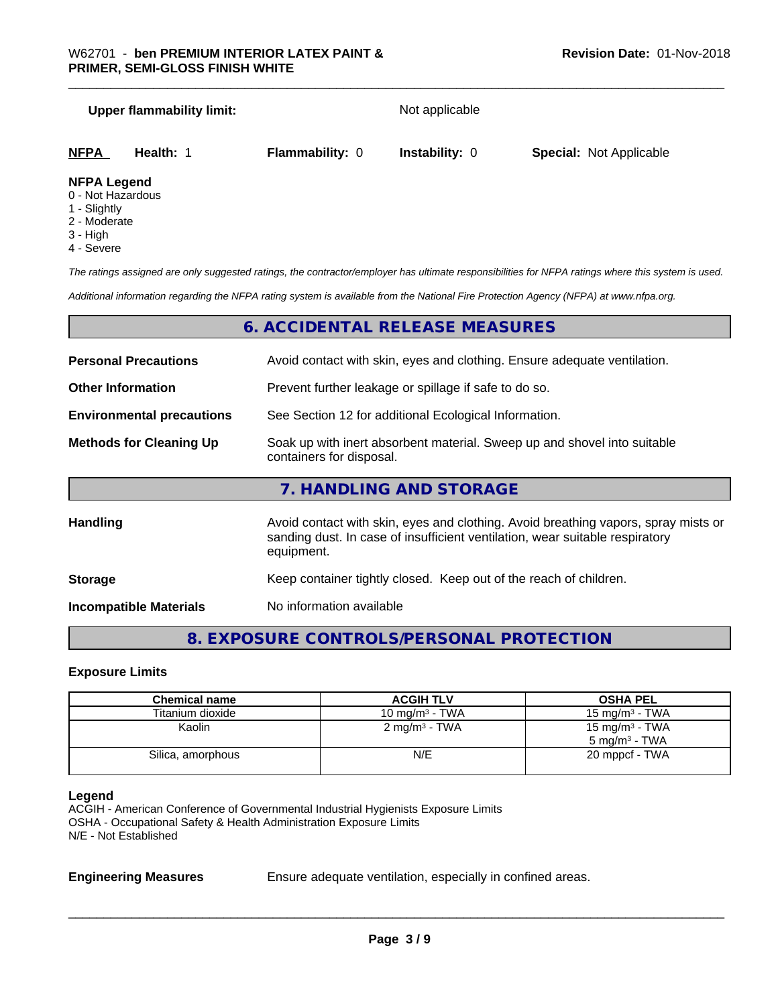|                                       | <b>Upper flammability limit:</b> |                        | Not applicable        |                                |
|---------------------------------------|----------------------------------|------------------------|-----------------------|--------------------------------|
| <b>NFPA</b>                           | Health: 1                        | <b>Flammability: 0</b> | <b>Instability: 0</b> | <b>Special: Not Applicable</b> |
| <b>NFPA Legend</b><br>0 Not Hazardous |                                  |                        |                       |                                |

- 0 Not Hazardous
- 1 Slightly
- 2 Moderate
- 3 High
- 4 Severe

*The ratings assigned are only suggested ratings, the contractor/employer has ultimate responsibilities for NFPA ratings where this system is used.*

*Additional information regarding the NFPA rating system is available from the National Fire Protection Agency (NFPA) at www.nfpa.org.*

#### **6. ACCIDENTAL RELEASE MEASURES**

| <b>Personal Precautions</b>      | Avoid contact with skin, eyes and clothing. Ensure adequate ventilation.                                                                                                         |
|----------------------------------|----------------------------------------------------------------------------------------------------------------------------------------------------------------------------------|
| <b>Other Information</b>         | Prevent further leakage or spillage if safe to do so.                                                                                                                            |
| <b>Environmental precautions</b> | See Section 12 for additional Ecological Information.                                                                                                                            |
| <b>Methods for Cleaning Up</b>   | Soak up with inert absorbent material. Sweep up and shovel into suitable<br>containers for disposal.                                                                             |
|                                  | 7. HANDLING AND STORAGE                                                                                                                                                          |
| <b>Handling</b>                  | Avoid contact with skin, eyes and clothing. Avoid breathing vapors, spray mists or<br>sanding dust. In case of insufficient ventilation, wear suitable respiratory<br>equipment. |
| <b>Storage</b>                   | Keep container tightly closed. Keep out of the reach of children.                                                                                                                |

**Incompatible Materials** No information available

### **8. EXPOSURE CONTROLS/PERSONAL PROTECTION**

#### **Exposure Limits**

| Chemical name     | <b>ACGIH TLV</b>         | <b>OSHA PEL</b>          |
|-------------------|--------------------------|--------------------------|
| Titanium dioxide  | 10 mg/m $3$ - TWA        | 15 mg/m $3$ - TWA        |
| Kaolin            | $2 \text{ mg/m}^3$ - TWA | 15 mg/m $3$ - TWA        |
|                   |                          | $5 \text{ mg/m}^3$ - TWA |
| Silica, amorphous | N/E                      | 20 mppcf - TWA           |
|                   |                          |                          |

#### **Legend**

ACGIH - American Conference of Governmental Industrial Hygienists Exposure Limits OSHA - Occupational Safety & Health Administration Exposure Limits N/E - Not Established

**Engineering Measures** Ensure adequate ventilation, especially in confined areas.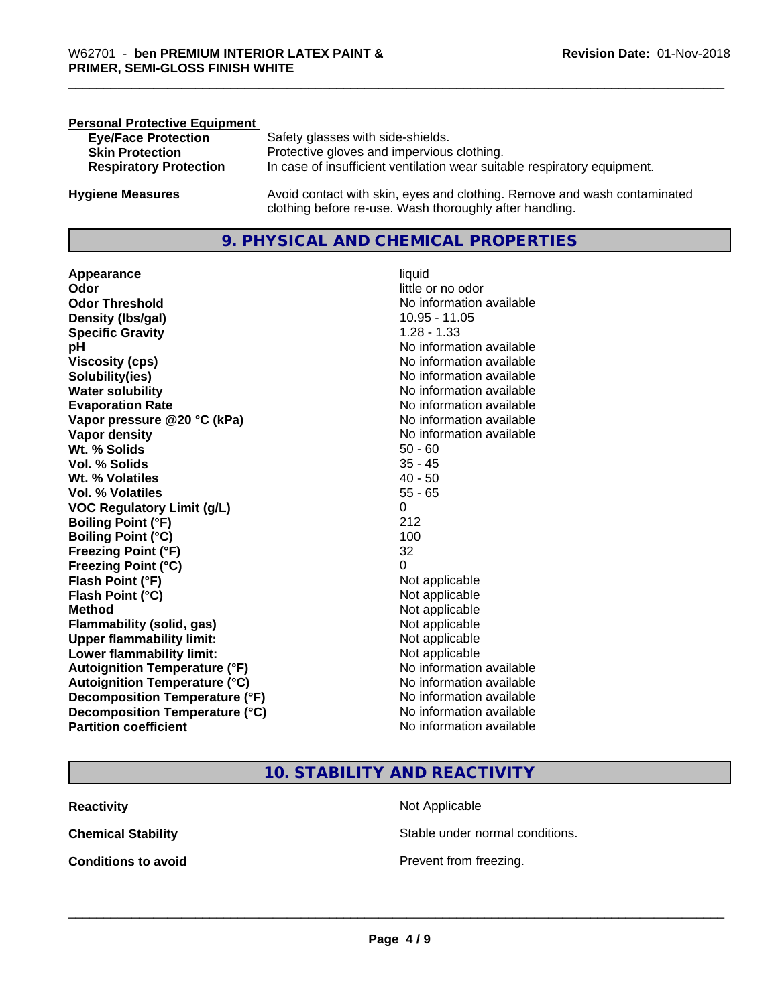| <b>Personal Protective Equipment</b> |                                                                                                                                     |
|--------------------------------------|-------------------------------------------------------------------------------------------------------------------------------------|
| <b>Eye/Face Protection</b>           | Safety glasses with side-shields.                                                                                                   |
| <b>Skin Protection</b>               | Protective gloves and impervious clothing.                                                                                          |
| <b>Respiratory Protection</b>        | In case of insufficient ventilation wear suitable respiratory equipment.                                                            |
| <b>Hygiene Measures</b>              | Avoid contact with skin, eyes and clothing. Remove and wash contaminated<br>clothing before re-use. Wash thoroughly after handling. |

#### **9. PHYSICAL AND CHEMICAL PROPERTIES**

**Appearance** liquid **Odor** little or no odor **Odor Threshold** No information available **Density (Ibs/gal)** 10.95 - 11.05 **Specific Gravity** 1.28 - 1.33 **pH pH**  $\blacksquare$ **Viscosity (cps)** No information available<br> **Solubility(ies)** No information available<br>
No information available **Solubility(ies)**<br> **No** information available<br> **Water solubility**<br> **Water Solubility Evaporation Rate No information available No information available Vapor pressure @20 °C (kPa)** No information available **Vapor density**<br> **Vapor density**<br> **With % Solids**<br>
With % Solids  $\begin{array}{ccc}\n & 50 - 60 \\
\end{array}$ **Wt. % Solids Vol. % Solids** 35 - 45 **Wt.** % Volatiles 40 - 50 **Vol. % Volatiles** 55 - 65 **VOC Regulatory Limit (g/L)** 0 **Boiling Point (°F)** 212 **Boiling Point (°C)** 100 **Freezing Point (°F)** 32 **Freezing Point (°C)** 0 **Flash Point (°F)**<br> **Flash Point (°C)**<br> **Flash Point (°C)**<br> **C Flash Point (°C) Method** Not applicable Not applicable **Flammability (solid, gas)**<br> **Upper flammability limit:**<br>
Upper flammability limit:<br>  $\begin{array}{ccc}\n\bullet & \bullet & \bullet \\
\bullet & \bullet & \bullet\n\end{array}$  Not applicable **Upper flammability limit: Lower flammability limit:** Not applicable **Autoignition Temperature (°F)** No information available **Autoignition Temperature (°C)** No information available **Decomposition Temperature (°F)** No information available **Decomposition Temperature (°C)**<br> **Partition coefficient**<br> **Partition coefficient**<br> **No** information available

**No information available No information available** 

#### **10. STABILITY AND REACTIVITY**

| <b>Reactivity</b>          |  |
|----------------------------|--|
| <b>Chemical Stability</b>  |  |
| <b>Conditions to avoid</b> |  |

**Not Applicable** Stable under normal conditions.

**Prevent from freezing.**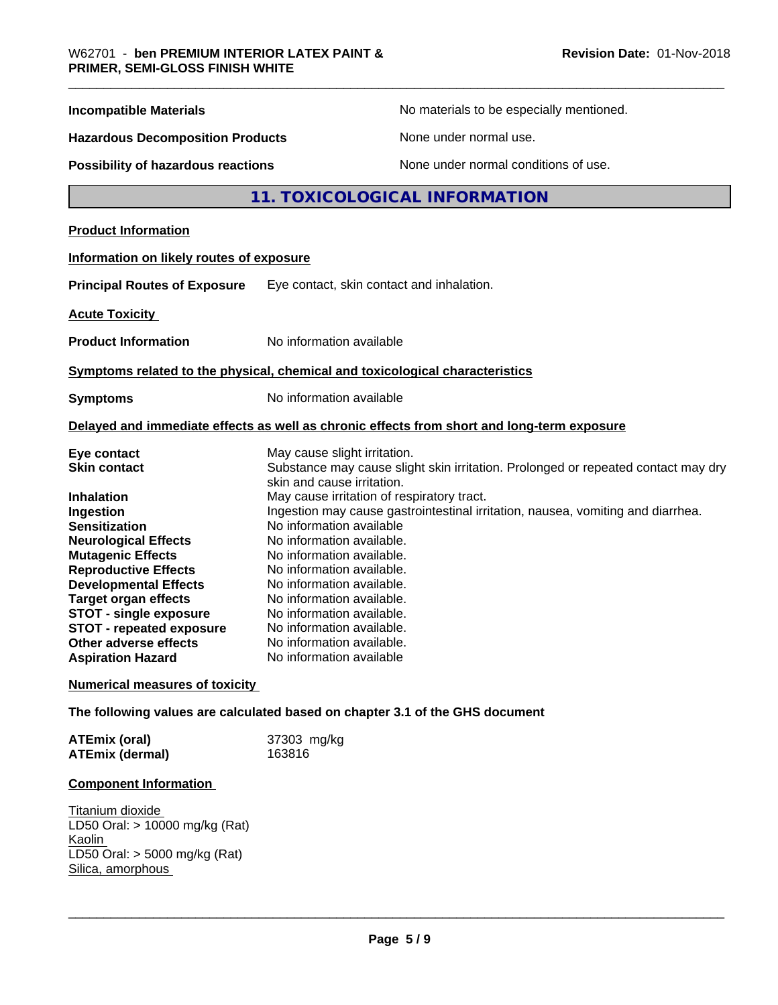| <b>Incompatible Materials</b>                                                |                                                        | No materials to be especially mentioned.                                                   |
|------------------------------------------------------------------------------|--------------------------------------------------------|--------------------------------------------------------------------------------------------|
| <b>Hazardous Decomposition Products</b>                                      |                                                        | None under normal use.                                                                     |
| Possibility of hazardous reactions                                           |                                                        | None under normal conditions of use.                                                       |
|                                                                              |                                                        | 11. TOXICOLOGICAL INFORMATION                                                              |
| <b>Product Information</b>                                                   |                                                        |                                                                                            |
| Information on likely routes of exposure                                     |                                                        |                                                                                            |
| <b>Principal Routes of Exposure</b>                                          | Eye contact, skin contact and inhalation.              |                                                                                            |
| <b>Acute Toxicity</b>                                                        |                                                        |                                                                                            |
| <b>Product Information</b>                                                   | No information available                               |                                                                                            |
| Symptoms related to the physical, chemical and toxicological characteristics |                                                        |                                                                                            |
| <b>Symptoms</b>                                                              | No information available                               |                                                                                            |
|                                                                              |                                                        | Delayed and immediate effects as well as chronic effects from short and long-term exposure |
| Eye contact                                                                  | May cause slight irritation.                           |                                                                                            |
| <b>Skin contact</b>                                                          | skin and cause irritation.                             | Substance may cause slight skin irritation. Prolonged or repeated contact may dry          |
| <b>Inhalation</b>                                                            | May cause irritation of respiratory tract.             |                                                                                            |
| Ingestion                                                                    |                                                        | Ingestion may cause gastrointestinal irritation, nausea, vomiting and diarrhea.            |
| <b>Sensitization</b>                                                         | No information available                               |                                                                                            |
| <b>Neurological Effects</b>                                                  | No information available.                              |                                                                                            |
| <b>Mutagenic Effects</b>                                                     | No information available.                              |                                                                                            |
| <b>Reproductive Effects</b>                                                  | No information available.                              |                                                                                            |
| <b>Developmental Effects</b>                                                 | No information available.                              |                                                                                            |
| <b>Target organ effects</b>                                                  | No information available.                              |                                                                                            |
| <b>STOT - single exposure</b>                                                | No information available.                              |                                                                                            |
| <b>STOT - repeated exposure</b><br>Other adverse effects                     | No information available.<br>No information available. |                                                                                            |
| <b>Aspiration Hazard</b>                                                     | No information available                               |                                                                                            |
| <b>Numerical measures of toxicity</b>                                        |                                                        |                                                                                            |
| The following values are calculated based on chapter 3.1 of the GHS document |                                                        |                                                                                            |
| <b>ATEmix (oral)</b>                                                         | 37303 mg/kg                                            |                                                                                            |
| <b>ATEmix (dermal)</b>                                                       | 163816                                                 |                                                                                            |
|                                                                              |                                                        |                                                                                            |

#### **Component Information**

Titanium dioxide LD50 Oral: > 10000 mg/kg (Rat) Kaolin LD50 Oral: > 5000 mg/kg (Rat) Silica, amorphous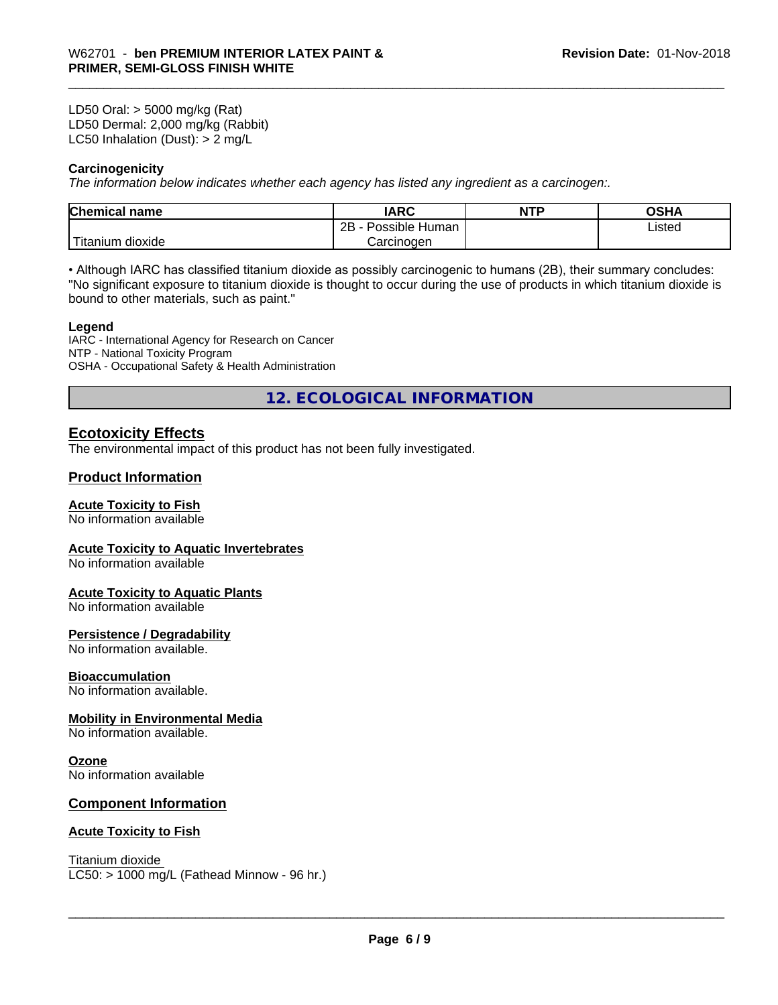LD50 Oral: > 5000 mg/kg (Rat) LD50 Dermal: 2,000 mg/kg (Rabbit) LC50 Inhalation (Dust): > 2 mg/L

#### **Carcinogenicity**

*The information below indicateswhether each agency has listed any ingredient as a carcinogen:.*

| <b>Chemical</b><br>name  | <b>IARC</b>                    | <b>NTP</b> | ດເ⊔∧<br>UJNA |
|--------------------------|--------------------------------|------------|--------------|
|                          | . .<br>2B<br>Human<br>Possible |            | Listed       |
| $-1$<br>Fitanium dioxide | Carcinoɑen                     |            |              |

• Although IARC has classified titanium dioxide as possibly carcinogenic to humans (2B), their summary concludes: "No significant exposure to titanium dioxide is thought to occur during the use of products in which titanium dioxide is bound to other materials, such as paint."

#### **Legend**

IARC - International Agency for Research on Cancer NTP - National Toxicity Program OSHA - Occupational Safety & Health Administration

**12. ECOLOGICAL INFORMATION**

#### **Ecotoxicity Effects**

The environmental impact of this product has not been fully investigated.

#### **Product Information**

#### **Acute Toxicity to Fish**

No information available

#### **Acute Toxicity to Aquatic Invertebrates**

No information available

#### **Acute Toxicity to Aquatic Plants**

No information available

#### **Persistence / Degradability**

No information available.

#### **Bioaccumulation**

No information available.

#### **Mobility in Environmental Media**

No information available.

#### **Ozone**

No information available

#### **Component Information**

#### **Acute Toxicity to Fish**

Titanium dioxide  $LC50:$  > 1000 mg/L (Fathead Minnow - 96 hr.)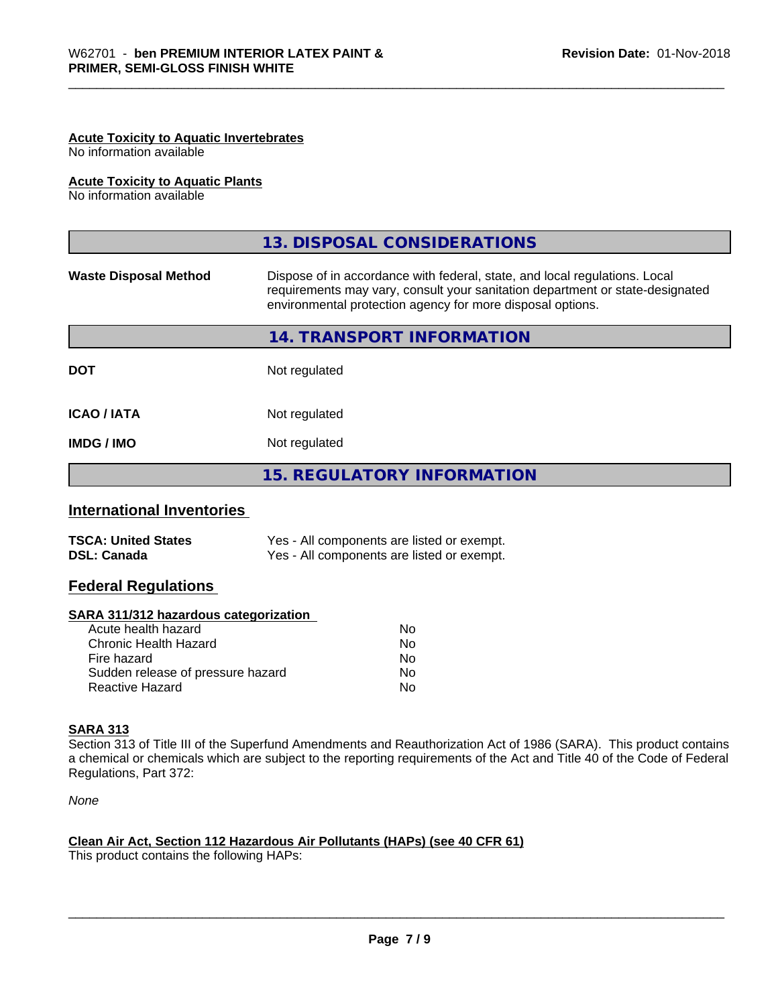#### **Acute Toxicity to Aquatic Invertebrates**

No information available

#### **Acute Toxicity to Aquatic Plants**

No information available

|                              | 13. DISPOSAL CONSIDERATIONS                                                                                                                                                                                               |
|------------------------------|---------------------------------------------------------------------------------------------------------------------------------------------------------------------------------------------------------------------------|
| <b>Waste Disposal Method</b> | Dispose of in accordance with federal, state, and local regulations. Local<br>requirements may vary, consult your sanitation department or state-designated<br>environmental protection agency for more disposal options. |
|                              | 14. TRANSPORT INFORMATION                                                                                                                                                                                                 |
| <b>DOT</b>                   | Not regulated                                                                                                                                                                                                             |
| <b>ICAO/IATA</b>             | Not regulated                                                                                                                                                                                                             |
| <b>IMDG/IMO</b>              | Not regulated                                                                                                                                                                                                             |
|                              | <b>15. REGULATORY INFORMATION</b>                                                                                                                                                                                         |

#### **International Inventories**

| <b>TSCA: United States</b> | Yes - All components are listed or exempt. |
|----------------------------|--------------------------------------------|
| <b>DSL: Canada</b>         | Yes - All components are listed or exempt. |

#### **Federal Regulations**

#### **SARA 311/312 hazardous categorization**

| No. |
|-----|
| Nο  |
| No. |
| Nο  |
| N٥  |
|     |

#### **SARA 313**

Section 313 of Title III of the Superfund Amendments and Reauthorization Act of 1986 (SARA). This product contains a chemical or chemicals which are subject to the reporting requirements of the Act and Title 40 of the Code of Federal Regulations, Part 372:

*None*

#### **Clean Air Act,Section 112 Hazardous Air Pollutants (HAPs) (see 40 CFR 61)**

This product contains the following HAPs: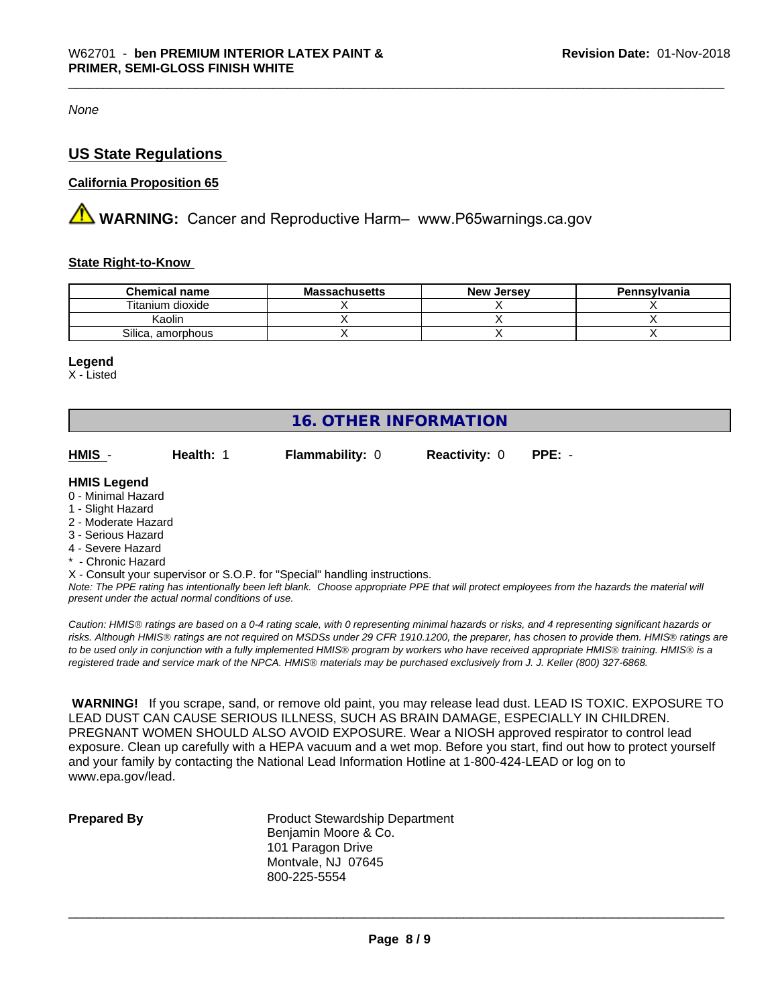*None*

#### **US State Regulations**

#### **California Proposition 65**

**WARNING:** Cancer and Reproductive Harm– www.P65warnings.ca.gov

#### **State Right-to-Know**

| <b>Chemical name</b> | <b>Massachusetts</b> | <b>New Jersey</b> | Pennsylvania |
|----------------------|----------------------|-------------------|--------------|
| Titanium dioxide     |                      |                   |              |
| Kaolin               |                      |                   |              |
| Silica, amorphous    |                      |                   |              |

#### **Legend**

X - Listed

| <b>16. OTHER INFORMATION</b> |           |                                                                            |                      |          |  |  |  |
|------------------------------|-----------|----------------------------------------------------------------------------|----------------------|----------|--|--|--|
| HMIS -                       | Health: 1 | <b>Flammability: 0</b>                                                     | <b>Reactivity: 0</b> | $PPE: -$ |  |  |  |
| <b>HMIS Legend</b>           |           |                                                                            |                      |          |  |  |  |
| 0 - Minimal Hazard           |           |                                                                            |                      |          |  |  |  |
| 1 - Slight Hazard            |           |                                                                            |                      |          |  |  |  |
| 2 - Moderate Hazard          |           |                                                                            |                      |          |  |  |  |
| 3 - Serious Hazard           |           |                                                                            |                      |          |  |  |  |
| 4 - Severe Hazard            |           |                                                                            |                      |          |  |  |  |
| - Chronic Hazard             |           |                                                                            |                      |          |  |  |  |
|                              |           | X - Consult your supervisor or S.O.P. for "Special" handling instructions. |                      |          |  |  |  |
|                              |           |                                                                            |                      |          |  |  |  |

*Note: The PPE rating has intentionally been left blank. Choose appropriate PPE that will protect employees from the hazards the material will present under the actual normal conditions of use.*

*Caution: HMISÒ ratings are based on a 0-4 rating scale, with 0 representing minimal hazards or risks, and 4 representing significant hazards or risks. Although HMISÒ ratings are not required on MSDSs under 29 CFR 1910.1200, the preparer, has chosen to provide them. HMISÒ ratings are to be used only in conjunction with a fully implemented HMISÒ program by workers who have received appropriate HMISÒ training. HMISÒ is a registered trade and service mark of the NPCA. HMISÒ materials may be purchased exclusively from J. J. Keller (800) 327-6868.*

 **WARNING!** If you scrape, sand, or remove old paint, you may release lead dust. LEAD IS TOXIC. EXPOSURE TO LEAD DUST CAN CAUSE SERIOUS ILLNESS, SUCH AS BRAIN DAMAGE, ESPECIALLY IN CHILDREN. PREGNANT WOMEN SHOULD ALSO AVOID EXPOSURE. Wear a NIOSH approved respirator to control lead exposure. Clean up carefully with a HEPA vacuum and a wet mop. Before you start, find out how to protect yourself and your family by contacting the National Lead Information Hotline at 1-800-424-LEAD or log on to www.epa.gov/lead.

**Prepared By** Product Stewardship Department Benjamin Moore & Co. 101 Paragon Drive Montvale, NJ 07645 800-225-5554